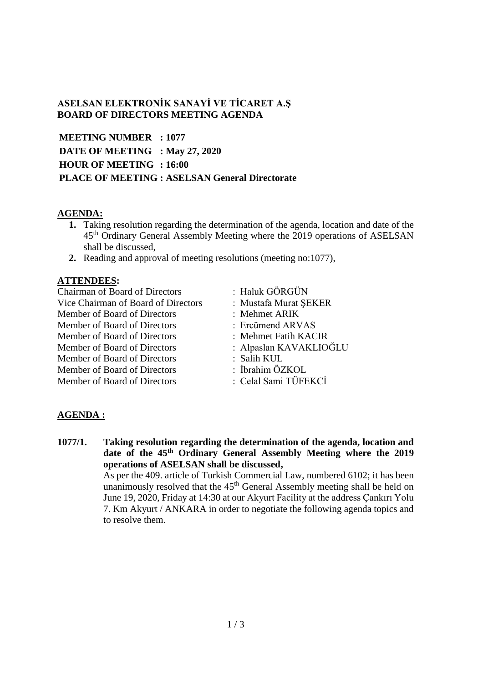# **ASELSAN ELEKTRONİK SANAYİ VE TİCARET A.Ş BOARD OF DIRECTORS MEETING AGENDA**

**MEETING NUMBER : 1077 DATE OF MEETING : May 27, 2020 HOUR OF MEETING : 16:00 PLACE OF MEETING : ASELSAN General Directorate**

### **AGENDA:**

- **1.** Taking resolution regarding the determination of the agenda, location and date of the 45th Ordinary General Assembly Meeting where the 2019 operations of ASELSAN shall be discussed,
- **2.** Reading and approval of meeting resolutions (meeting no:1077),

#### **ATTENDEES:**

| <b>Chairman of Board of Directors</b> | : Haluk GÖRGÜN         |
|---------------------------------------|------------------------|
| Vice Chairman of Board of Directors   | : Mustafa Murat ŞEKER  |
| Member of Board of Directors          | : Mehmet ARIK          |
| Member of Board of Directors          | : Ercümend ARVAS       |
| Member of Board of Directors          | : Mehmet Fatih KACIR   |
| Member of Board of Directors          | : Alpaslan KAVAKLIOĞLU |
| Member of Board of Directors          | : Salih KUL            |
| Member of Board of Directors          | : İbrahim ÖZKOL        |
| Member of Board of Directors          | : Celal Sami TÜFEKCİ   |
|                                       |                        |

# **AGENDA :**

**1077/1. Taking resolution regarding the determination of the agenda, location and date of the 45th Ordinary General Assembly Meeting where the 2019 operations of ASELSAN shall be discussed,** As per the 409. article of Turkish Commercial Law, numbered 6102; it has been unanimously resolved that the 45<sup>th</sup> General Assembly meeting shall be held on June 19, 2020, Friday at 14:30 at our Akyurt Facility at the address Çankırı Yolu 7. Km Akyurt / ANKARA in order to negotiate the following agenda topics and to resolve them.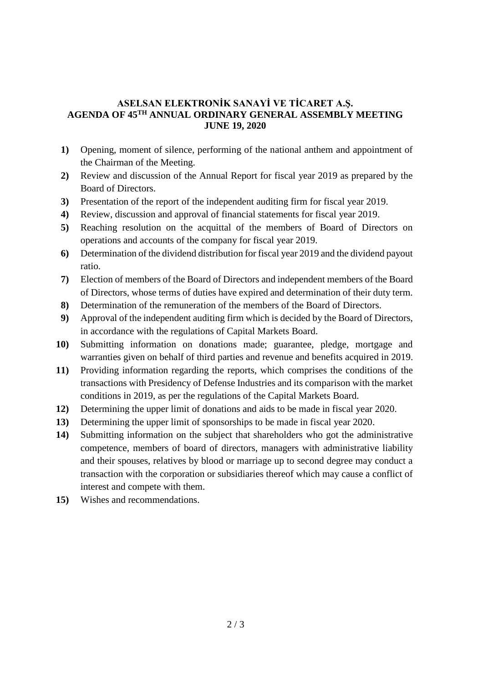### **ASELSAN ELEKTRONİK SANAYİ VE TİCARET A.Ş. AGENDA OF 45 TH ANNUAL ORDINARY GENERAL ASSEMBLY MEETING JUNE 19, 2020**

- **1)** Opening, moment of silence, performing of the national anthem and appointment of the Chairman of the Meeting.
- **2)** Review and discussion of the Annual Report for fiscal year 2019 as prepared by the Board of Directors.
- **3)** Presentation of the report of the independent auditing firm for fiscal year 2019.
- **4)** Review, discussion and approval of financial statements for fiscal year 2019.
- **5)** Reaching resolution on the acquittal of the members of Board of Directors on operations and accounts of the company for fiscal year 2019.
- **6)** Determination of the dividend distribution for fiscal year 2019 and the dividend payout ratio.
- **7)** Election of members of the Board of Directors and independent members of the Board of Directors, whose terms of duties have expired and determination of their duty term.
- **8)** Determination of the remuneration of the members of the Board of Directors.
- **9)** Approval of the independent auditing firm which is decided by the Board of Directors, in accordance with the regulations of Capital Markets Board.
- **10)** Submitting information on donations made; guarantee, pledge, mortgage and warranties given on behalf of third parties and revenue and benefits acquired in 2019.
- **11)** Providing information regarding the reports, which comprises the conditions of the transactions with Presidency of Defense Industries and its comparison with the market conditions in 2019, as per the regulations of the Capital Markets Board.
- **12)** Determining the upper limit of donations and aids to be made in fiscal year 2020.
- **13)** Determining the upper limit of sponsorships to be made in fiscal year 2020.
- **14)** Submitting information on the subject that shareholders who got the administrative competence, members of board of directors, managers with administrative liability and their spouses, relatives by blood or marriage up to second degree may conduct a transaction with the corporation or subsidiaries thereof which may cause a conflict of interest and compete with them.
- **15)** Wishes and recommendations.